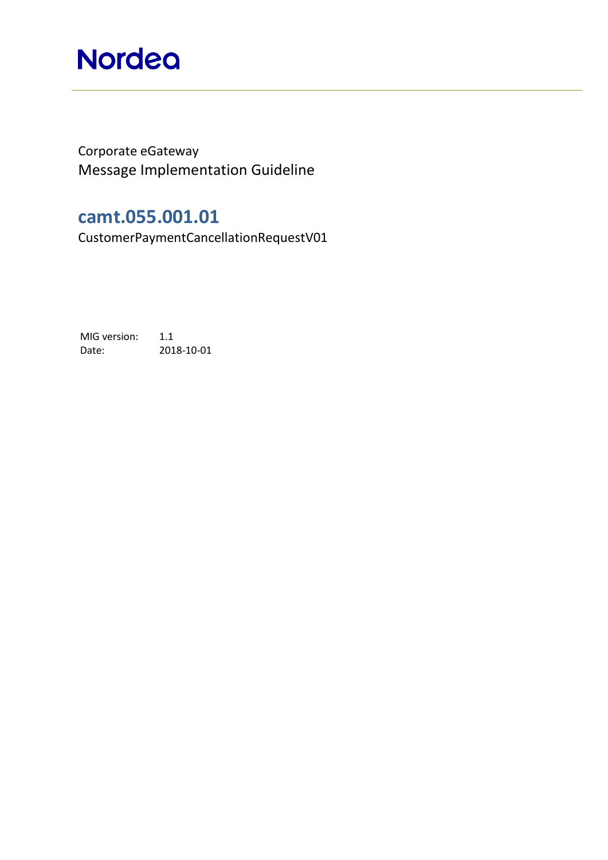## **Nordea**

Corporate eGateway Message Implementation Guideline

### **camt.055.001.01**

CustomerPaymentCancellationRequestV01

MIG version: 1.1 Date: 2018-10-01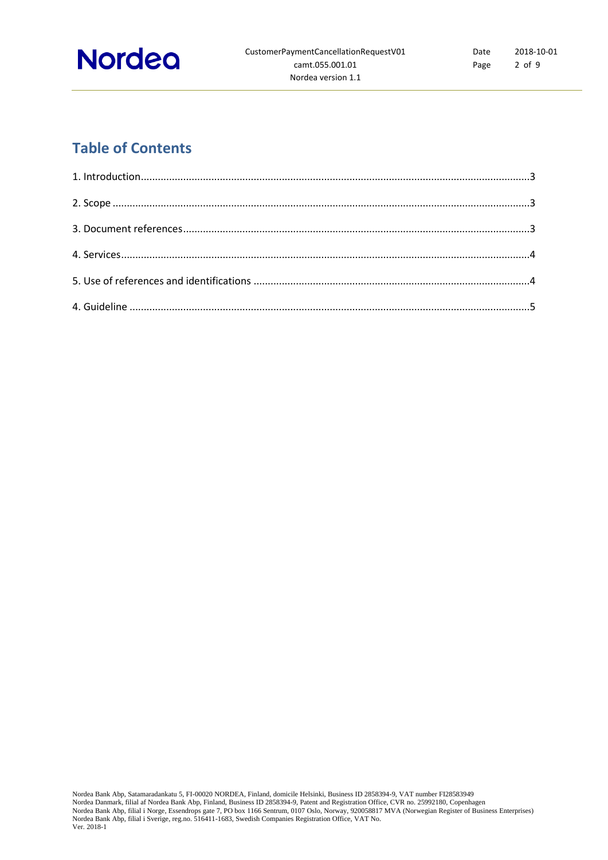

### **Table of Contents**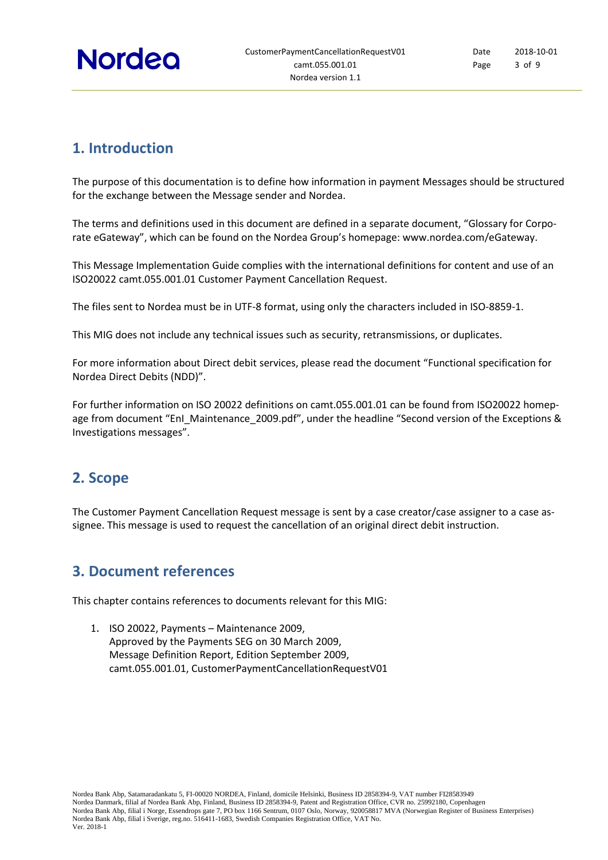

### <span id="page-2-0"></span>**1. Introduction**

The purpose of this documentation is to define how information in payment Messages should be structured for the exchange between the Message sender and Nordea.

The terms and definitions used in this document are defined in a separate document, "Glossary for Corporate eGateway", which can be found on the Nordea Group's homepage: [www.nordea.com/eGateway.](http://www.nordea.com/eGateway)

This Message Implementation Guide complies with the international definitions for content and use of an ISO20022 camt.055.001.01 Customer Payment Cancellation Request.

The files sent to Nordea must be in UTF-8 format, using only the characters included in ISO-8859-1.

This MIG does not include any technical issues such as security, retransmissions, or duplicates.

For more information about Direct debit services, please read the document "Functional specification for Nordea Direct Debits (NDD)".

For further information on ISO 20022 definitions on camt.055.001.01 can be found from [ISO20022](http://www.iso20022.org/payments_messages.page) homepage from document "EnI\_Maintenance\_2009.pdf", under the headline "Second version of the Exceptions & Investigations messages".

### <span id="page-2-1"></span>**2. Scope**

<span id="page-2-2"></span>The Customer Payment Cancellation Request message is sent by a case creator/case assigner to a case assignee. This message is used to request the cancellation of an original direct debit instruction.

### **3. Document references**

This chapter contains references to documents relevant for this MIG:

1. ISO 20022, Payments – Maintenance 2009, Approved by the Payments SEG on 30 March 2009, Message Definition Report, Edition September 2009, camt.055.001.01, CustomerPaymentCancellationRequestV01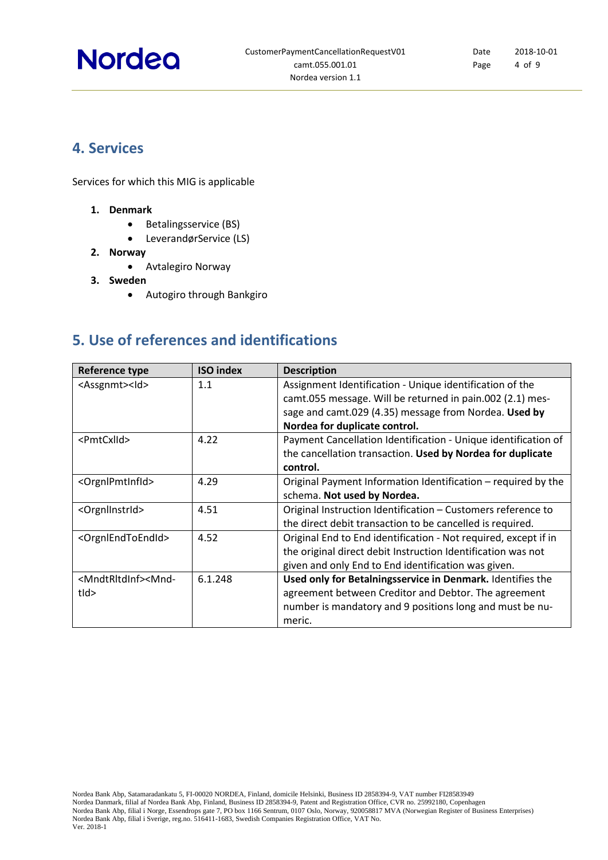# **Nordea**

### <span id="page-3-0"></span>**4. Services**

Services for which this MIG is applicable

- **1. Denmark**
	- Betalingsservice (BS)
	- LeverandørService (LS)
- **2. Norway**
	- Avtalegiro Norway
- **3. Sweden**
	- Autogiro through Bankgiro

### <span id="page-3-1"></span>**5. Use of references and identifications**

| Reference type                                                                                                                      | <b>ISO index</b> | <b>Description</b>                                              |
|-------------------------------------------------------------------------------------------------------------------------------------|------------------|-----------------------------------------------------------------|
| <assgnmt><ld></ld></assgnmt>                                                                                                        | 1.1              | Assignment Identification - Unique identification of the        |
|                                                                                                                                     |                  | camt.055 message. Will be returned in pain.002 (2.1) mes-       |
|                                                                                                                                     |                  | sage and camt.029 (4.35) message from Nordea. Used by           |
|                                                                                                                                     |                  | Nordea for duplicate control.                                   |
| <pmtcxlid></pmtcxlid>                                                                                                               | 4.22             | Payment Cancellation Identification - Unique identification of  |
|                                                                                                                                     |                  | the cancellation transaction. Used by Nordea for duplicate      |
|                                                                                                                                     |                  | control.                                                        |
| <orgnlpmtinfld></orgnlpmtinfld>                                                                                                     | 4.29             | Original Payment Information Identification – required by the   |
|                                                                                                                                     |                  | schema. Not used by Nordea.                                     |
| <orgnllnstrid></orgnllnstrid>                                                                                                       | 4.51             | Original Instruction Identification - Customers reference to    |
|                                                                                                                                     |                  | the direct debit transaction to be cancelled is required.       |
| <orgnlendtoendid></orgnlendtoendid>                                                                                                 | 4.52             | Original End to End identification - Not required, except if in |
|                                                                                                                                     |                  | the original direct debit Instruction Identification was not    |
|                                                                                                                                     |                  | given and only End to End identification was given.             |
| <mndtrltdinf><mnd-< td=""><td>6.1.248</td><td>Used only for Betalningsservice in Denmark. Identifies the</td></mnd-<></mndtrltdinf> | 6.1.248          | Used only for Betalningsservice in Denmark. Identifies the      |
| $t$ ld>                                                                                                                             |                  | agreement between Creditor and Debtor. The agreement            |
|                                                                                                                                     |                  | number is mandatory and 9 positions long and must be nu-        |
|                                                                                                                                     |                  | meric.                                                          |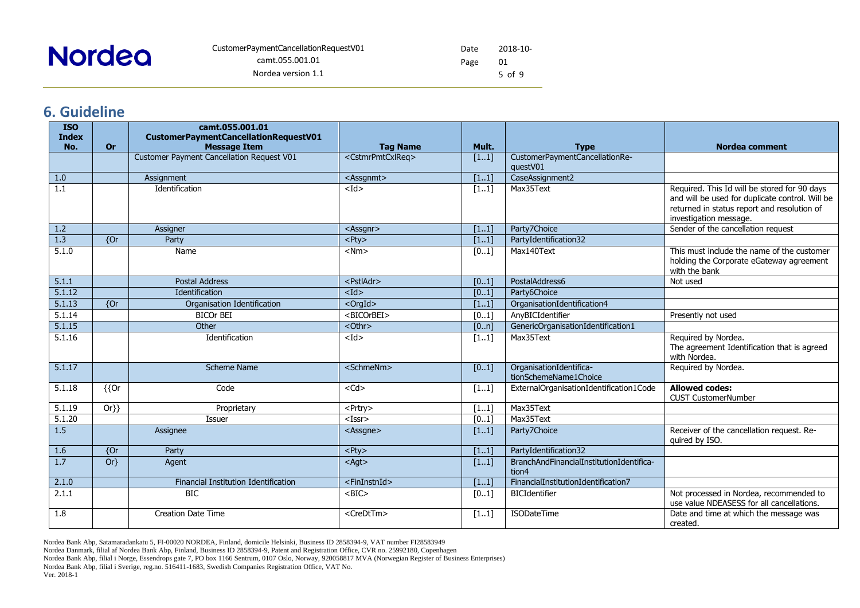#### Date Page 2018-10- 01 5 of 9

### **6. Guideline**

<span id="page-4-0"></span>

| <b>ISO</b><br><b>Index</b> |                | camt.055.001.01<br>CustomerPaymentCancellationRequestV01 |                                   |                   |                                                   |                                                                                                                                                                          |
|----------------------------|----------------|----------------------------------------------------------|-----------------------------------|-------------------|---------------------------------------------------|--------------------------------------------------------------------------------------------------------------------------------------------------------------------------|
| No.                        | <b>Or</b>      | <b>Message Item</b>                                      | <b>Tag Name</b>                   | Mult.             | <b>Type</b>                                       | <b>Nordea comment</b>                                                                                                                                                    |
|                            |                | <b>Customer Payment Cancellation Request V01</b>         | <cstmrpmtcxlreq></cstmrpmtcxlreq> | $[11]$            | CustomerPaymentCancellationRe-<br>questV01        |                                                                                                                                                                          |
| 1.0                        |                | Assignment                                               | <assgnmt></assgnmt>               | [11]              | CaseAssignment2                                   |                                                                                                                                                                          |
| 1.1                        |                | Identification                                           | $<$ Id>                           | $[11]$            | Max35Text                                         | Required. This Id will be stored for 90 days<br>and will be used for duplicate control. Will be<br>returned in status report and resolution of<br>investigation message. |
| 1.2                        |                | Assigner                                                 | <assgnr></assgnr>                 | $[11]$            | Party7Choice                                      | Sender of the cancellation request                                                                                                                                       |
| 1.3                        | $\overline{6}$ | Party                                                    | $<$ Pty $>$                       | [11]              | PartyIdentification32                             |                                                                                                                                                                          |
| 5.1.0                      |                | Name                                                     | $<$ Nm $>$                        | $[01]$            | Max140Text                                        | This must include the name of the customer<br>holding the Corporate eGateway agreement<br>with the bank                                                                  |
| 5.1.1                      |                | <b>Postal Address</b>                                    | <pstladr></pstladr>               | [01]              | PostalAddress6                                    | Not used                                                                                                                                                                 |
| 5.1.12                     |                | Identification                                           | $<$ Id $>$                        | $[01]$            | Party6Choice                                      |                                                                                                                                                                          |
| 5.1.13                     | ${or}$         | Organisation Identification                              | $\overline{\text{C}$ < OrgId $>$  | [11]              | OrganisationIdentification4                       |                                                                                                                                                                          |
| 5.1.14                     |                | <b>BICOr BEI</b>                                         | <bicorbei></bicorbei>             | $[01]$            | AnyBICIdentifier                                  | Presently not used                                                                                                                                                       |
| 5.1.15                     |                | Other                                                    | $<$ Othr $>$                      | [0n]              | GenericOrganisationIdentification1                |                                                                                                                                                                          |
| 5.1.16                     |                | Identification                                           | $<$ Id $>$                        | $[11]$            | Max35Text                                         | Required by Nordea.<br>The agreement Identification that is agreed<br>with Nordea.                                                                                       |
| 5.1.17                     |                | Scheme Name                                              | <schmenm></schmenm>               | $\overline{[01]}$ | OrganisationIdentifica-<br>tionSchemeName1Choice  | Required by Nordea.                                                                                                                                                      |
| 5.1.18                     | ${Or}$         | Code                                                     | $<$ Cd $>$                        | $[11]$            | ExternalOrganisationIdentification1Code           | <b>Allowed codes:</b><br><b>CUST CustomerNumber</b>                                                                                                                      |
| 5.1.19                     | $Or\}$         | Proprietary                                              | <prtry></prtry>                   | $[11]$            | Max35Text                                         |                                                                                                                                                                          |
| 5.1.20                     |                | Issuer                                                   | $<$ Issr $>$                      | $[01]$            | Max35Text                                         |                                                                                                                                                                          |
| 1.5                        |                | Assignee                                                 | <assgne></assgne>                 | [11]              | Party7Choice                                      | Receiver of the cancellation request. Re-<br>quired by ISO.                                                                                                              |
| 1.6                        | ${or}$         | Party                                                    | $<$ Pty $>$                       | [11]              | PartyIdentification32                             |                                                                                                                                                                          |
| 1.7                        | $Or\}$         | Agent                                                    | $<$ Agt $>$                       | $[11]$            | BranchAndFinancialInstitutionIdentifica-<br>tion4 |                                                                                                                                                                          |
| 2.1.0                      |                | Financial Institution Identification                     | <fininstnid></fininstnid>         | [11]              | FinancialInstitutionIdentification7               |                                                                                                                                                                          |
| 2.1.1                      |                | <b>BIC</b>                                               | $<$ BIC $>$                       | $[01]$            | <b>BICIdentifier</b>                              | Not processed in Nordea, recommended to<br>use value NDEASESS for all cancellations.                                                                                     |
| 1.8                        |                | Creation Date Time                                       | <credttm></credttm>               | [11]              | <b>ISODateTime</b>                                | Date and time at which the message was<br>created.                                                                                                                       |

Nordea Bank Abp, Satamaradankatu 5, FI-00020 NORDEA, Finland, domicile Helsinki, Business ID 2858394-9, VAT number FI28583949

Nordea Danmark, filial af Nordea Bank Abp, Finland, Business ID 2858394-9, Patent and Registration Office, CVR no. 25992180, Copenhagen

Nordea Bank Abp, filial i Norge, Essendrops gate 7, PO box 1166 Sentrum, 0107 Oslo, Norway, 920058817 MVA (Norwegian Register of Business Enterprises)

Nordea Bank Abp, filial i Sverige, reg.no. 516411-1683, Swedish Companies Registration Office, VAT No.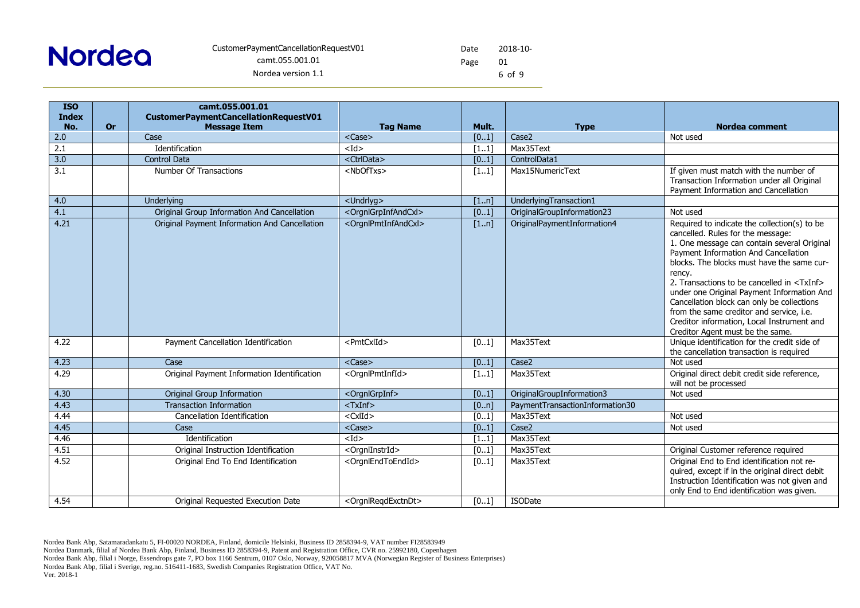Date Page 2018-10- 01 6 of 9

| <b>ISO</b>       |           | camt.055.001.01                               |                                         |        |                                 |                                                                                                                                                                                                                                                                                                                                                                                                                                                                                                                       |
|------------------|-----------|-----------------------------------------------|-----------------------------------------|--------|---------------------------------|-----------------------------------------------------------------------------------------------------------------------------------------------------------------------------------------------------------------------------------------------------------------------------------------------------------------------------------------------------------------------------------------------------------------------------------------------------------------------------------------------------------------------|
| <b>Index</b>     |           | CustomerPaymentCancellationRequestV01         |                                         |        |                                 |                                                                                                                                                                                                                                                                                                                                                                                                                                                                                                                       |
| No.              | <b>Or</b> | <b>Message Item</b>                           | <b>Tag Name</b>                         | Mult.  | <b>Type</b>                     | <b>Nordea comment</b>                                                                                                                                                                                                                                                                                                                                                                                                                                                                                                 |
| 2.0              |           | Case                                          | <case></case>                           | [01]   | Case <sub>2</sub>               | Not used                                                                                                                                                                                                                                                                                                                                                                                                                                                                                                              |
| 2.1              |           | Identification                                | $<$ Id $>$                              | [11]   | Max35Text                       |                                                                                                                                                                                                                                                                                                                                                                                                                                                                                                                       |
| 3.0              |           | <b>Control Data</b>                           | <ctrldata></ctrldata>                   | [01]   | ControlData1                    |                                                                                                                                                                                                                                                                                                                                                                                                                                                                                                                       |
| $\overline{3.1}$ |           | Number Of Transactions                        | <nboftxs></nboftxs>                     | [11]   | Max15NumericText                | If given must match with the number of<br>Transaction Information under all Original<br>Payment Information and Cancellation                                                                                                                                                                                                                                                                                                                                                                                          |
| 4.0              |           | Underlying                                    | <undrlyg></undrlyg>                     | [1n]   | UnderlyingTransaction1          |                                                                                                                                                                                                                                                                                                                                                                                                                                                                                                                       |
| 4.1              |           | Original Group Information And Cancellation   | <orgnlgrpinfandcxl></orgnlgrpinfandcxl> | [01]   | OriginalGroupInformation23      | Not used                                                                                                                                                                                                                                                                                                                                                                                                                                                                                                              |
| 4.21             |           | Original Payment Information And Cancellation | <orgnlpmtinfandcxl></orgnlpmtinfandcxl> | [1n]   | OriginalPaymentInformation4     | Required to indicate the collection(s) to be<br>cancelled. Rules for the message:<br>1. One message can contain several Original<br>Payment Information And Cancellation<br>blocks. The blocks must have the same cur-<br>rency.<br>2. Transactions to be cancelled in <txinf><br/>under one Original Payment Information And<br/>Cancellation block can only be collections<br/>from the same creditor and service, i.e.<br/>Creditor information, Local Instrument and<br/>Creditor Agent must be the same.</txinf> |
| 4.22             |           | Payment Cancellation Identification           | <pmtcxlid></pmtcxlid>                   | $[01]$ | Max35Text                       | Unique identification for the credit side of<br>the cancellation transaction is required                                                                                                                                                                                                                                                                                                                                                                                                                              |
| 4.23             |           | Case                                          | <case></case>                           | $[01]$ | Case2                           | Not used                                                                                                                                                                                                                                                                                                                                                                                                                                                                                                              |
| 4.29             |           | Original Payment Information Identification   | <orgnlpmtinfid></orgnlpmtinfid>         | $[11]$ | Max35Text                       | Original direct debit credit side reference,<br>will not be processed                                                                                                                                                                                                                                                                                                                                                                                                                                                 |
| 4.30             |           | <b>Original Group Information</b>             | <orgnlgrpinf></orgnlgrpinf>             | [01]   | OriginalGroupInformation3       | Not used                                                                                                                                                                                                                                                                                                                                                                                                                                                                                                              |
| 4.43             |           | <b>Transaction Information</b>                | $<$ TxInf $>$                           | [0n]   | PaymentTransactionInformation30 |                                                                                                                                                                                                                                                                                                                                                                                                                                                                                                                       |
| 4.44             |           | Cancellation Identification                   | $<$ CxlId $>$                           | [01]   | Max35Text                       | Not used                                                                                                                                                                                                                                                                                                                                                                                                                                                                                                              |
| 4.45             |           | Case                                          | $<$ Case $>$                            | [01]   | Case <sub>2</sub>               | Not used                                                                                                                                                                                                                                                                                                                                                                                                                                                                                                              |
| 4.46             |           | Identification                                | $<$ Id $>$                              | $[11]$ | Max35Text                       |                                                                                                                                                                                                                                                                                                                                                                                                                                                                                                                       |
| 4.51             |           | Original Instruction Identification           | <orgnlinstrid></orgnlinstrid>           | [01]   | Max35Text                       | Original Customer reference required                                                                                                                                                                                                                                                                                                                                                                                                                                                                                  |
| 4.52             |           | Original End To End Identification            | <orgnlendtoendid></orgnlendtoendid>     | [01]   | Max35Text                       | Original End to End identification not re-<br>quired, except if in the original direct debit<br>Instruction Identification was not given and<br>only End to End identification was given.                                                                                                                                                                                                                                                                                                                             |
| 4.54             |           | Original Requested Execution Date             | <oranlreadexctndt></oranlreadexctndt>   | [01]   | <b>ISODate</b>                  |                                                                                                                                                                                                                                                                                                                                                                                                                                                                                                                       |

- Nordea Bank Abp, filial i Sverige, reg.no. 516411-1683, Swedish Companies Registration Office, VAT No.
- Ver. 2018-1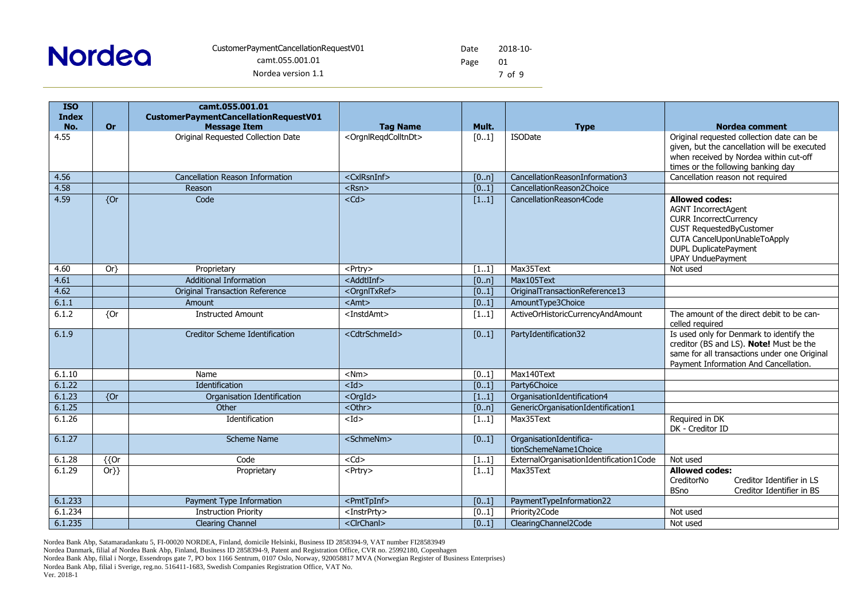

Date Page 2018-10- 01 7 of 9

| <b>ISO</b><br><b>Index</b> |                     | camt.055.001.01<br>CustomerPaymentCancellationRequestV01 |                                         |                   |                                                  |                                                                                                                                                                                                                     |
|----------------------------|---------------------|----------------------------------------------------------|-----------------------------------------|-------------------|--------------------------------------------------|---------------------------------------------------------------------------------------------------------------------------------------------------------------------------------------------------------------------|
| No.                        | <b>Or</b>           | <b>Message Item</b>                                      | <b>Tag Name</b>                         | Mult.             | <b>Type</b>                                      | <b>Nordea comment</b>                                                                                                                                                                                               |
| 4.55                       |                     | Original Requested Collection Date                       | <orgnlreqdcolltndt></orgnlreqdcolltndt> | [01]              | <b>ISODate</b>                                   | Original requested collection date can be<br>given, but the cancellation will be executed<br>when received by Nordea within cut-off<br>times or the following banking day                                           |
| 4.56                       |                     | Cancellation Reason Information                          | <cxlrsninf></cxlrsninf>                 | [0n]              | CancellationReasonInformation3                   | Cancellation reason not required                                                                                                                                                                                    |
| 4.58                       |                     | Reason                                                   | $<$ Rsn $>$                             | $[01]$            | CancellationReason2Choice                        |                                                                                                                                                                                                                     |
| 4.59                       | $\overline{\{Or}$   | Code                                                     | $<$ Cd $>$                              | $[11]$            | CancellationReason4Code                          | <b>Allowed codes:</b><br><b>AGNT IncorrectAgent</b><br><b>CURR IncorrectCurrency</b><br><b>CUST RequestedByCustomer</b><br>CUTA CancelUponUnableToApply<br><b>DUPL DuplicatePayment</b><br><b>UPAY UnduePayment</b> |
| 4.60                       | $Or\}$              | Proprietary                                              | <prtry></prtry>                         | $[11]$            | Max35Text                                        | Not used                                                                                                                                                                                                            |
| 4.61                       |                     | <b>Additional Information</b>                            | <addtlinf></addtlinf>                   | [0n]              | Max105Text                                       |                                                                                                                                                                                                                     |
| 4.62                       |                     | <b>Original Transaction Reference</b>                    | <orgnltxref></orgnltxref>               | $\overline{[01]}$ | OriginalTransactionReference13                   |                                                                                                                                                                                                                     |
| 6.1.1                      |                     | Amount                                                   | $<$ Amt $>$                             | [01]              | AmountType3Choice                                |                                                                                                                                                                                                                     |
| 6.1.2                      | {Or                 | <b>Instructed Amount</b>                                 | <instdamt></instdamt>                   | $[11]$            | ActiveOrHistoricCurrencyAndAmount                | The amount of the direct debit to be can-<br>celled required                                                                                                                                                        |
| 6.1.9                      |                     | Creditor Scheme Identification                           | <cdtrschmeid></cdtrschmeid>             | $[01]$            | PartyIdentification32                            | Is used only for Denmark to identify the<br>creditor (BS and LS). Note! Must be the<br>same for all transactions under one Original<br>Payment Information And Cancellation.                                        |
| 6.1.10                     |                     | Name                                                     | $<$ Nm $>$                              | [01]              | Max140Text                                       |                                                                                                                                                                                                                     |
| 6.1.22                     |                     | Identification                                           | $<$ Id $>$                              | [01]              | Party6Choice                                     |                                                                                                                                                                                                                     |
| 6.1.23                     | $\overline{6}$      | Organisation Identification                              | $<$ OrgId $>$                           | [11]              | OrganisationIdentification4                      |                                                                                                                                                                                                                     |
| 6.1.25                     |                     | Other                                                    | <othr></othr>                           | [0n]              | GenericOrganisationIdentification1               |                                                                                                                                                                                                                     |
| 6.1.26                     |                     | Identification                                           | $<$ Id $>$                              | [11]              | Max35Text                                        | Required in DK<br>DK - Creditor ID                                                                                                                                                                                  |
| 6.1.27                     |                     | Scheme Name                                              | <schmenm></schmenm>                     | $[01]$            | OrganisationIdentifica-<br>tionSchemeName1Choice |                                                                                                                                                                                                                     |
| 6.1.28                     | $\overline{\{0r\}}$ | Code                                                     | $<$ Cd $>$                              | $[11]$            | ExternalOrganisationIdentification1Code          | Not used                                                                                                                                                                                                            |
| 6.1.29                     | $Or\}$              | Proprietary                                              | <prtry></prtry>                         | [11]              | Max35Text                                        | <b>Allowed codes:</b><br>CreditorNo<br>Creditor Identifier in LS<br><b>BSno</b><br>Creditor Identifier in BS                                                                                                        |
| 6.1.233                    |                     | Payment Type Information                                 | <pmttpinf></pmttpinf>                   | $[01]$            | PaymentTypeInformation22                         |                                                                                                                                                                                                                     |
| $6.\overline{1.234}$       |                     | <b>Instruction Priority</b>                              | <instrprty></instrprty>                 | $[01]$            | Priority2Code                                    | Not used                                                                                                                                                                                                            |
| 6.1.235                    |                     | <b>Clearing Channel</b>                                  | <clrchanl></clrchanl>                   | [01]              | ClearingChannel2Code                             | Not used                                                                                                                                                                                                            |

Nordea Bank Abp, Satamaradankatu 5, FI-00020 NORDEA, Finland, domicile Helsinki, Business ID 2858394-9, VAT number FI28583949

Nordea Danmark, filial af Nordea Bank Abp, Finland, Business ID 2858394-9, Patent and Registration Office, CVR no. 25992180, Copenhagen

Nordea Bank Abp, filial i Norge, Essendrops gate 7, PO box 1166 Sentrum, 0107 Oslo, Norway, 920058817 MVA (Norwegian Register of Business Enterprises)

Nordea Bank Abp, filial i Sverige, reg.no. 516411-1683, Swedish Companies Registration Office, VAT No.

Ver. 2018-1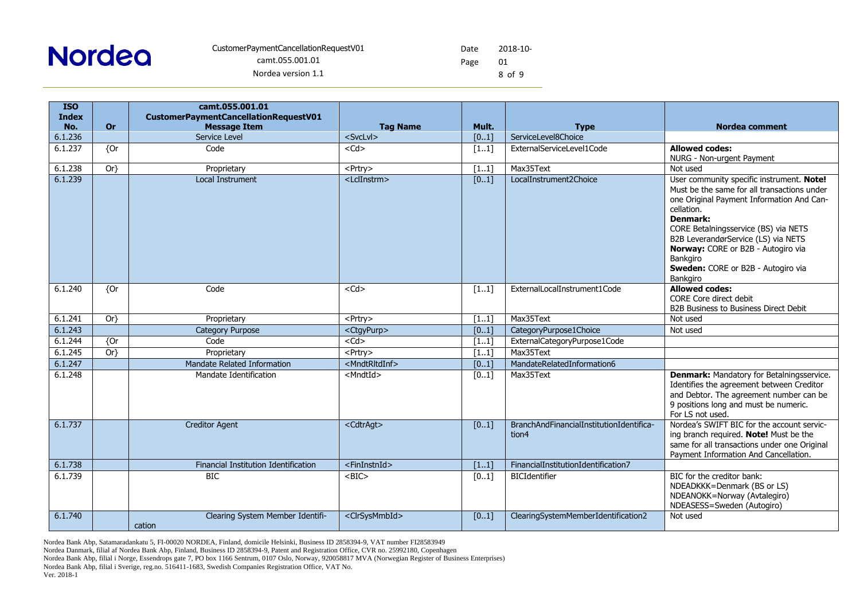Date Page 2018-10- 01 8 of 9

| <b>ISO</b>   |                 | camt.055.001.01                            |                                      |        |                                                   |                                                                                                                                                                                                                                                                                                                                                    |
|--------------|-----------------|--------------------------------------------|--------------------------------------|--------|---------------------------------------------------|----------------------------------------------------------------------------------------------------------------------------------------------------------------------------------------------------------------------------------------------------------------------------------------------------------------------------------------------------|
| <b>Index</b> |                 | CustomerPaymentCancellationRequestV01      |                                      |        |                                                   |                                                                                                                                                                                                                                                                                                                                                    |
| No.          | <b>Or</b>       | <b>Message Item</b><br>Service Level       | <b>Tag Name</b><br><svclvl></svclvl> | Mult.  | <b>Type</b><br>ServiceLevel8Choice                | <b>Nordea comment</b>                                                                                                                                                                                                                                                                                                                              |
| 6.1.236      |                 |                                            |                                      | $[01]$ |                                                   |                                                                                                                                                                                                                                                                                                                                                    |
| 6.1.237      | $\overline{Or}$ | Code                                       | $<$ Cd>                              | $[11]$ | ExternalServiceLevel1Code                         | <b>Allowed codes:</b><br>NURG - Non-urgent Payment                                                                                                                                                                                                                                                                                                 |
| 6.1.238      | $Or\}$          | Proprietary                                | <prtry></prtry>                      | $[11]$ | Max35Text                                         | Not used                                                                                                                                                                                                                                                                                                                                           |
| 6.1.239      |                 | <b>Local Instrument</b>                    | <lclinstrm></lclinstrm>              | [01]   | LocalInstrument2Choice                            | User community specific instrument. Note!<br>Must be the same for all transactions under<br>one Original Payment Information And Can-<br>cellation.<br>Denmark:<br>CORE Betalningsservice (BS) via NETS<br>B2B LeverandørService (LS) via NETS<br>Norway: CORE or B2B - Autogiro via<br>Bankgiro<br>Sweden: CORE or B2B - Autogiro via<br>Bankgiro |
| 6.1.240      | ${or}$          | Code                                       | $<$ Cd $>$                           | [11]   | ExternalLocalInstrument1Code                      | <b>Allowed codes:</b><br>CORE Core direct debit<br>B2B Business to Business Direct Debit                                                                                                                                                                                                                                                           |
| 6.1.241      | $Or\}$          | Proprietary                                | <prtry></prtry>                      | [11]   | Max35Text                                         | Not used                                                                                                                                                                                                                                                                                                                                           |
| 6.1.243      |                 | <b>Category Purpose</b>                    | <ctgypurp></ctgypurp>                | [01]   | CategoryPurpose1Choice                            | Not used                                                                                                                                                                                                                                                                                                                                           |
| 6.1.244      | $\overline{or}$ | Code                                       | $<$ Cd $>$                           | [11]   | ExternalCategoryPurpose1Code                      |                                                                                                                                                                                                                                                                                                                                                    |
| 6.1.245      | $Or\}$          | Proprietary                                | <prtry></prtry>                      | [11]   | Max35Text                                         |                                                                                                                                                                                                                                                                                                                                                    |
| 6.1.247      |                 | Mandate Related Information                | <mndtrltdinf></mndtrltdinf>          | [01]   | MandateRelatedInformation6                        |                                                                                                                                                                                                                                                                                                                                                    |
| 6.1.248      |                 | Mandate Identification                     | <mndtid></mndtid>                    | $[01]$ | Max35Text                                         | <b>Denmark: Mandatory for Betalningsservice.</b><br>Identifies the agreement between Creditor<br>and Debtor. The agreement number can be<br>9 positions long and must be numeric.<br>For LS not used.                                                                                                                                              |
| 6.1.737      |                 | <b>Creditor Agent</b>                      | <cdtragt></cdtragt>                  | [01]   | BranchAndFinancialInstitutionIdentifica-<br>tion4 | Nordea's SWIFT BIC for the account servic-<br>ing branch required. Note! Must be the<br>same for all transactions under one Original<br>Payment Information And Cancellation.                                                                                                                                                                      |
| 6.1.738      |                 | Financial Institution Identification       | <fininstnid></fininstnid>            | $[11]$ | FinancialInstitutionIdentification7               |                                                                                                                                                                                                                                                                                                                                                    |
| 6.1.739      |                 | <b>BIC</b>                                 | $<$ BIC $>$                          | [01]   | <b>BICIdentifier</b>                              | BIC for the creditor bank:<br>NDEADKKK=Denmark (BS or LS)<br>NDEANOKK=Norway (Avtalegiro)<br>NDEASESS=Sweden (Autogiro)                                                                                                                                                                                                                            |
| 6.1.740      |                 | Clearing System Member Identifi-<br>cation | <clrsysmmbid></clrsysmmbid>          | [01]   | ClearingSystemMemberIdentification2               | Not used                                                                                                                                                                                                                                                                                                                                           |

Nordea Bank Abp, Satamaradankatu 5, FI-00020 NORDEA, Finland, domicile Helsinki, Business ID 2858394-9, VAT number FI28583949

Nordea Danmark, filial af Nordea Bank Abp, Finland, Business ID 2858394-9, Patent and Registration Office, CVR no. 25992180, Copenhagen

Nordea Bank Abp, filial i Norge, Essendrops gate 7, PO box 1166 Sentrum, 0107 Oslo, Norway, 920058817 MVA (Norwegian Register of Business Enterprises)

Nordea Bank Abp, filial i Sverige, reg.no. 516411-1683, Swedish Companies Registration Office, VAT No.